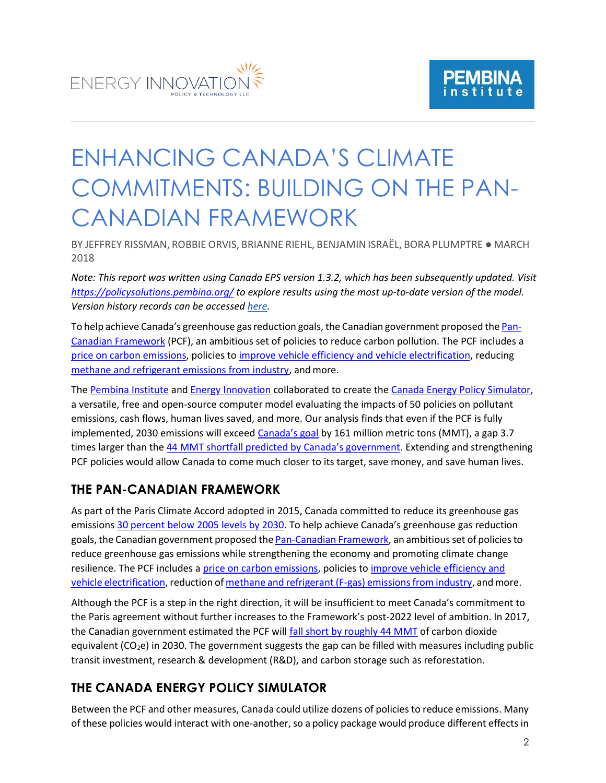



# ENHANCING CANADA'S CLIMATE COMMITMENTS: BUILDING ON THE PAN-CANADIAN FRAMEWORK

BY JEFFREY RISSMAN, ROBBIE ORVIS, BRIANNE RIEHL, BENJAMIN ISRAËL, BORA PLUMPTRE ● MARCH 2018

*Note: This report was written using Canada EPS version 1.3.2, which has been subsequently updated. Visit <https://policysolutions.pembina.org/> to explore results using the most up-to-date version of the model. Version history records can be accessed [here.](https://us.energypolicy.solutions/docs/version-history.html)*

To help achieve Canada's greenhouse gas reduction goals, the Canadian government proposed the [Pan-](https://www.canada.ca/en/services/environment/weather/climatechange/pan-canadian-framework.html)[Canadian Framework](https://www.canada.ca/en/services/environment/weather/climatechange/pan-canadian-framework.html) (PCF), an ambitious set of policies to reduce carbon pollution. The PCF includes a [price on carbon emissions,](https://www.canada.ca/en/services/environment/weather/climatechange/climate-action/federal-actions-clean-growth-economy/pricing-carbon-pollution.html) policies to [improve vehicle efficiency and vehicle electrification,](https://www.canada.ca/en/services/environment/weather/climatechange/climate-action/federal-actions-clean-growth-economy/clean-transportation.html) reducing [methane and refrigerant emissions from industry,](https://www.canada.ca/en/services/environment/weather/climatechange/climate-action/federal-actions-clean-growth-economy/industry.html) and more.

The [Pembina Institute](http://www.pembina.org/) an[d Energy Innovation](http://energyinnovation.org/) collaborated to create the [Canada Energy Policy Simulator,](https://canada.energypolicy.solutions/) a versatile, free and open-source computer model evaluating the impacts of 50 policies on pollutant emissions, cash flows, human lives saved, and more. Our analysis finds that even if the PCF is fully implemented, 2030 emissions will exceed [Canada's goal](http://www4.unfccc.int/ndcregistry/PublishedDocuments/Canada%20First/Canada%20First%20NDC-Revised%20submission%202017-05-11.pdf) by 161 million metric tons (MMT), a gap 3.7 times larger than the [44 MMT shortfall predicted by Canada's government](http://www4.unfccc.int/ndcregistry/PublishedDocuments/Canada%20First/Canada%20First%20NDC-Revised%20submission%202017-05-11.pdf). Extending and strengthening PCF policies would allow Canada to come much closer to its target, save money, and save human lives.

#### **THE PAN-CANADIAN FRAMEWORK**

As part of the Paris Climate Accord adopted in 2015, Canada committed to reduce its greenhouse gas emissions [30 percent below 2005 levels by 2030.](http://www4.unfccc.int/ndcregistry/PublishedDocuments/Canada%20First/Canada%20First%20NDC-Revised%20submission%202017-05-11.pdf) To help achieve Canada's greenhouse gas reduction goals, the Canadian government proposed the [Pan-Canadian](https://www.canada.ca/en/services/environment/weather/climatechange/pan-canadian-framework.html) Framework, an ambitiousset of policiesto reduce greenhouse gas emissions while strengthening the economy and promoting climate change resilience. The PCF includes a [price on carbon emissions, p](https://www.canada.ca/en/services/environment/weather/climatechange/climate-action/federal-actions-clean-growth-economy/pricing-carbon-pollution.html)olicies t[o improve vehicle efficiency and](https://www.canada.ca/en/services/environment/weather/climatechange/climate-action/federal-actions-clean-growth-economy/clean-transportation.html) vehicle [electrification,](https://www.canada.ca/en/services/environment/weather/climatechange/climate-action/federal-actions-clean-growth-economy/clean-transportation.html) reduction of methane and refrigerant (F-gas) emissions from industry, and more.

Although the PCF is a step in the right direction, it will be insufficient to meet Canada's commitment to the Paris agreement without further increases to the Framework's post-2022 level of ambition. In 2017, the Canadian government estimated the PCF wil[l fall short by roughly 44 MMT](http://www4.unfccc.int/ndcregistry/PublishedDocuments/Canada%20First/Canada%20First%20NDC-Revised%20submission%202017-05-11.pdf) of carbon dioxide equivalent ( $CO<sub>2</sub>e$ ) in 2030. The government suggests the gap can be filled with measures including public transit investment, research & development (R&D), and carbon storage such as reforestation.

### **THE CANADA ENERGY POLICY SIMULATOR**

Between the PCF and other measures, Canada could utilize dozens of policies to reduce emissions. Many of these policies would interact with one-another, so a policy package would produce different effects in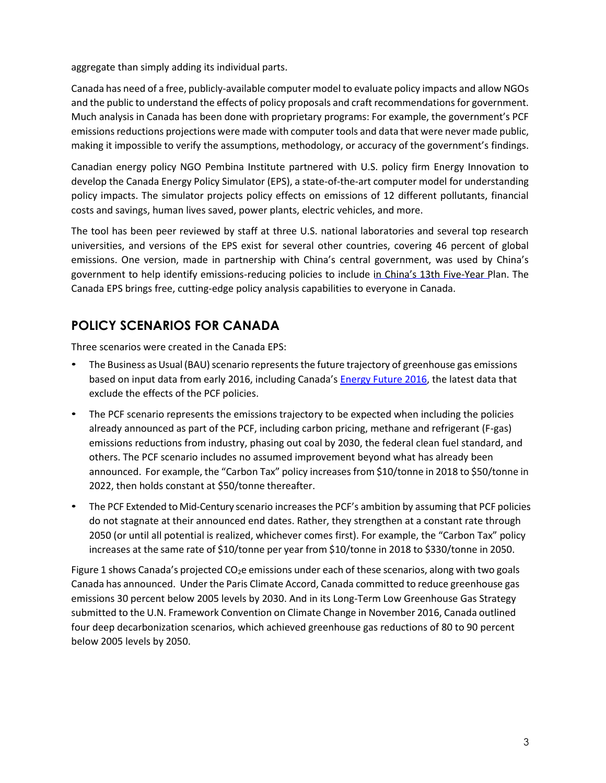aggregate than simply adding its individual parts.

Canada has need of a free, publicly-available computer model to evaluate policy impacts and allow NGOs and the public to understand the effects of policy proposals and craft recommendations for government. Much analysis in Canada has been done with proprietary programs: For example, the government's PCF emissions reductions projections were made with computer tools and data that were never made public, making it impossible to verify [the assumptions, methodology, or accuracy of the government's](https://www.canada.ca/en/services/environment/weather/climatechange/climate-action/modelling-ghg-projections.html) findings.

Canadian energy policy NGO [Pembina Institute p](http://www.pembina.org/)artnered with U.S. policy firm [Energy Innovation t](http://energyinnovation.org/)o develop the [Canada Energy Policy Simulator \(](https://canada.energypolicy.solutions/)EPS), a state-of-the-art computer model for understanding policy impacts. The simulator projects policy effects on emissions of 12 different pollutants, financial costs and savings, human lives saved, power plants, electric vehicles, and more.

The tool has been peer reviewed by staff at three U.S. national laboratories and several top research universities, and versions of the EPS exist for [several other](https://www.energypolicy.solutions/) countries, covering 46 percent of global emissions. One version, made in partnership with China's central government, was used by China's government to help identify emissions-reducing policies to include in [China's 13th Five](http://en.ndrc.gov.cn/newsrelease/201612/P020161207645765233498.pdf)-Year Plan. The Canada EPS brings free, cutting-edge policy analysis capabilities to everyone in Canada.

## **POLICY SCENARIOS FOR CANADA**

Three scenarios were created in the Canada EPS:

- The Business as Usual (BAU) scenario represents the future trajectory of greenhouse gas emissions based on input data from early 2016, including Canada's **Energy Future 2016**, the latest data that exclude the effects of the PCF policies.
- The PCF scenario represents the emissions trajectory to be expected when including the policies already announced as part of the PCF, including carbon pricing, methane and refrigerant (F-gas) emissions reductions from industry, phasing out coal by 2030, the federal clean fuel standard, and others. The PCF scenario includes no assumed improvement beyond what has already been announced. For example, the "Carbon Tax" policy increasesfrom \$10/tonne in 2018 to \$50/tonne in 2022, then holds constant at \$50/tonne thereafter.
- The PCF Extended to Mid-Century scenario increases the PCF's ambition by assuming that PCF policies do not stagnate at their announced end dates. Rather, they strengthen at a constant rate through 2050 (or until all potential is realized, whichever comes first). For example, the "Carbon Tax" policy increases at the same rate of \$10/tonne per year from \$10/tonne in 2018 to \$330/tonne in 2050.

Figure 1 shows Canada's projected  $CO<sub>2</sub>e$  emissions under each of these scenarios, along with two goals Canada has announced. Under the Paris Climate Accord, Canada committed to reduce greenhouse gas emissions 30 percent below 2005 levels by 2030. And in its Long-Term Low Greenhouse Gas Strategy submitted to the U.N. Framework Convention on Climate Change in November 2016, Canada outlined four deep decarbonization scenarios, which achieved greenhouse gas reductions of 80 to 90 percent below 2005 levels by 2050.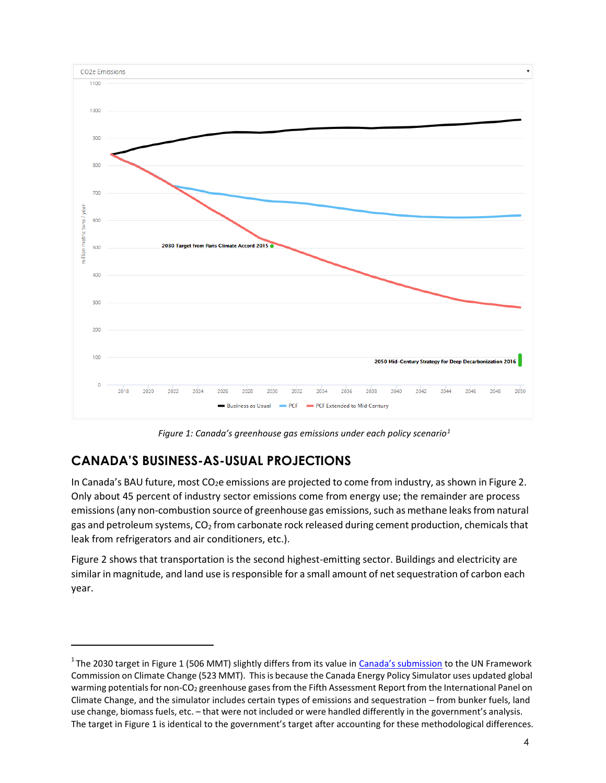

*Figure 1: Canada's greenhouse gas emissions under each policy scenario[1](#page-2-0)*

## **CANADA'S BUSINESS-AS-USUAL PROJECTIONS**

In Canada's BAU future, most CO<sub>2</sub>e emissions are projected to come from industry, as shown in Figure 2. Only about 45 percent of industry sector emissions come from energy use; the remainder are process emissions (any non-combustion source of greenhouse gas emissions, such as methane leaks from natural gas and petroleum systems,  $CO<sub>2</sub>$  from carbonate rock released during cement production, chemicals that leak from refrigerators and air conditioners, etc.).

Figure 2 shows that transportation is the second highest-emitting sector. Buildings and electricity are similar in magnitude, and land use is responsible for a small amount of net sequestration of carbon each year.

<span id="page-2-0"></span><sup>&</sup>lt;sup>1</sup>The 2030 target in Figure 1 (506 MMT) slightly differs from its value in [Canada's submission](http://www4.unfccc.int/ndcregistry/PublishedDocuments/Canada%20First/Canada%20First%20NDC-Revised%20submission%202017-05-11.pdf) to the UN Framework Commission on Climate Change (523 MMT). Thisis because the Canada Energy Policy Simulator uses updated global warming potentials for non-CO<sub>2</sub> greenhouse gases from the Fifth Assessment Report from the International Panel on Climate Change, and the simulator includes certain types of emissions and sequestration – from bunker fuels, land use change, biomassfuels, etc. – that were not included or were handled differently in the government's analysis. The target in Figure 1 is identical to the government's target after accounting for these methodological differences.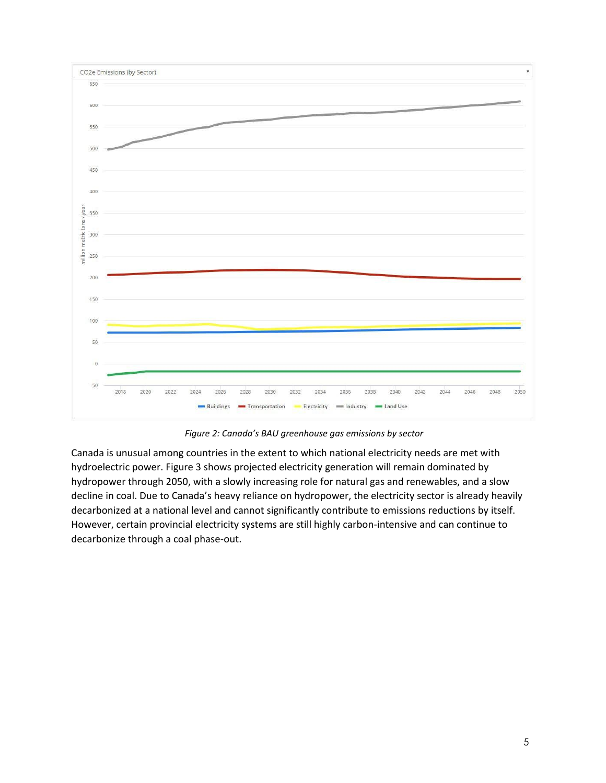

*Figure 2: Canada's BAU greenhouse gas emissions by sector*

Canada is unusual among countries in the extent to which national electricity needs are met with hydroelectric power. Figure 3 shows projected electricity generation will remain dominated by hydropower through 2050, with a slowly increasing role for natural gas and renewables, and a slow decline in coal. Due to Canada's heavy reliance on hydropower, the electricity sector is already heavily decarbonized at a national level and cannot significantly contribute to emissions reductions by itself. However, certain provincial electricity systems are still highly carbon-intensive and can continue to decarbonize through a coal phase-out.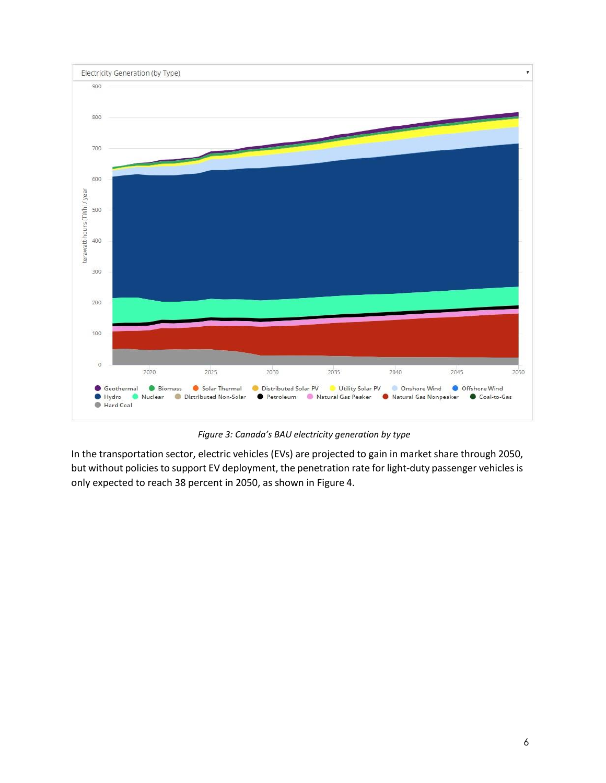

*Figure 3: Canada's BAU electricity generation by type*

In the transportation sector, electric vehicles (EVs) are projected to gain in market share through 2050, but without policies to support EV deployment, the penetration rate for light-duty passenger vehicles is only expected to reach 38 percent in 2050, as shown in Figure 4.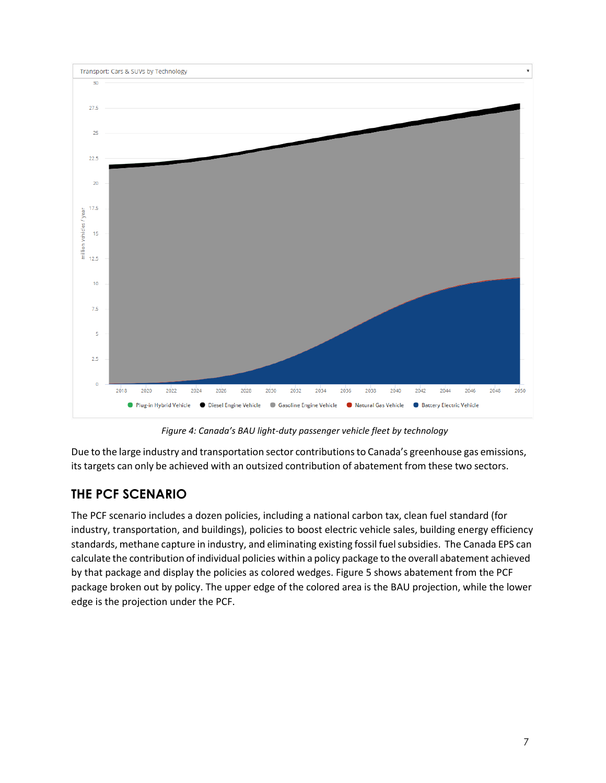

*Figure 4: Canada's BAU light-duty passenger vehicle fleet by technology*

Due to the large industry and transportation sector contributionsto Canada's greenhouse gas emissions, its targets can only be achieved with an outsized contribution of abatement from these two sectors.

## **THE PCF SCENARIO**

The PCF scenario includes a dozen policies, including a national carbon tax, clean fuel standard (for industry, transportation, and buildings), policies to boost electric vehicle sales, building energy efficiency standards, methane capture in industry, and eliminating existing fossil fuelsubsidies. The Canada EPS can calculate the contribution of individual policies within a policy package to the overall abatement achieved by that package and display the policies as colored wedges. Figure 5 shows abatement from the PCF package broken out by policy. The upper edge of the colored area is the BAU projection, while the lower edge is the projection under the PCF.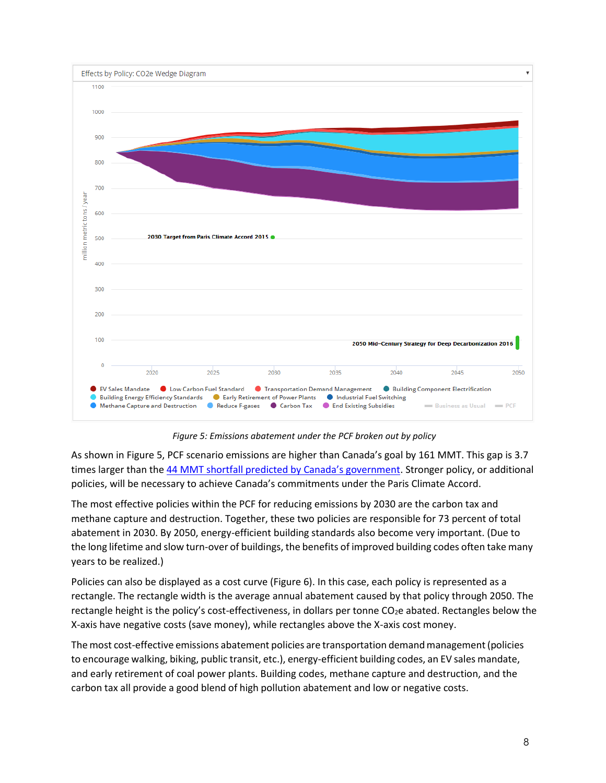

*Figure 5: Emissions abatement under the PCF broken out by policy*

As shown in Figure 5, PCF scenario emissions are higher than Canada's goal by 161 MMT. This gap is 3.7 times larger than the [44 MMT shortfall predicted by Canada's government](http://www4.unfccc.int/ndcregistry/PublishedDocuments/Canada%20First/Canada%20First%20NDC-Revised%20submission%202017-05-11.pdf). Stronger policy, or additional policies, will be necessary to achieve Canada's commitments under the Paris Climate Accord.

The most effective policies within the PCF for reducing emissions by 2030 are the carbon tax and methane capture and destruction. Together, these two policies are responsible for 73 percent of total abatement in 2030. By 2050, energy-efficient building standards also become very important. (Due to the long lifetime and slow turn-over of buildings, the benefits of improved building codes often take many years to be realized.)

Policies can also be displayed as a cost curve (Figure 6). In this case, each policy is represented as a rectangle. The rectangle width is the average annual abatement caused by that policy through 2050. The rectangle height is the policy's cost-effectiveness, in dollars per tonne  $CO<sub>2</sub>e$  abated. Rectangles below the X-axis have negative costs (save money), while rectangles above the X-axis cost money.

The most cost-effective emissions abatement policies are transportation demandmanagement(policies to encourage walking, biking, public transit, etc.), energy-efficient building codes, an EV sales mandate, and early retirement of coal power plants. Building codes, methane capture and destruction, and the carbon tax all provide a good blend of high pollution abatement and low or negative costs.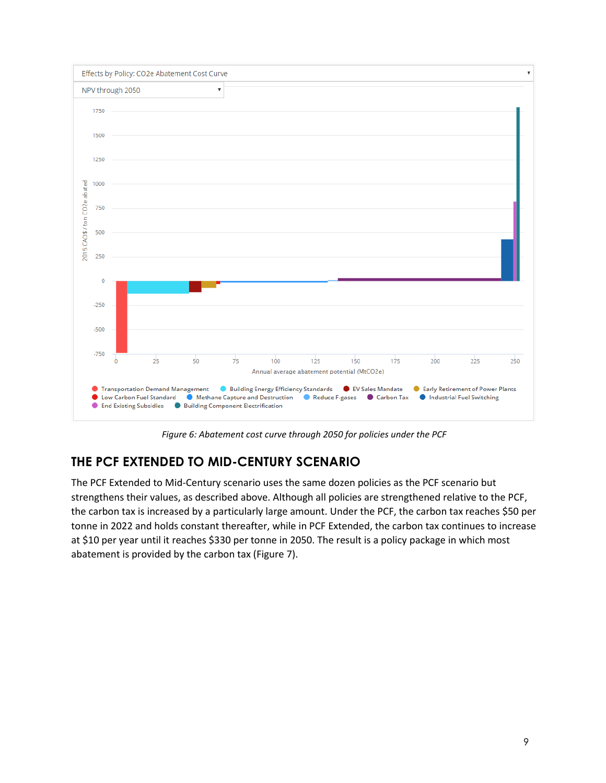

*Figure 6: Abatement cost curve through 2050 for policies under the PCF*

## **THE PCF EXTENDED TO MID-CENTURY SCENARIO**

The PCF Extended to Mid-Century scenario uses the same dozen policies as the PCF scenario but strengthens their values, as described above. Although all policies are strengthened relative to the PCF, the carbon tax is increased by a particularly large amount. Under the PCF, the carbon tax reaches \$50 per tonne in 2022 and holds constant thereafter, while in PCF Extended, the carbon tax continues to increase at \$10 per year until it reaches \$330 per tonne in 2050. The result is a policy package in which most abatement is provided by the carbon tax (Figure 7).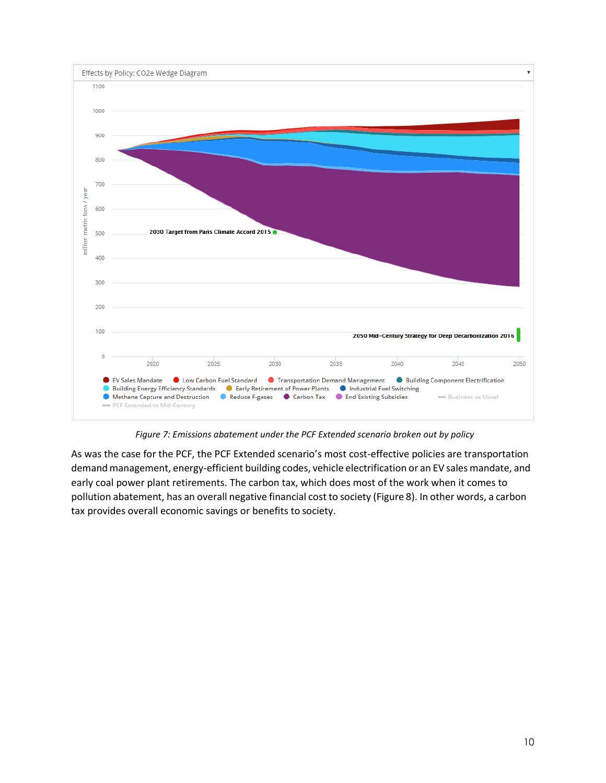

*Figure 7: Emissions abatement under the PCF Extended scenario broken out by policy*

As was the case for the PCF, the PCF Extended scenario's most cost-effective policies are transportation demand management, energy-efficient building codes, vehicle electrification or an EV sales mandate, and early coal power plant retirements. The carbon tax, which does most of the work when it comes to pollution abatement, has an overall negative financial cost to society (Figure 8). In other words, a carbon tax provides overall economic savings or benefits to society.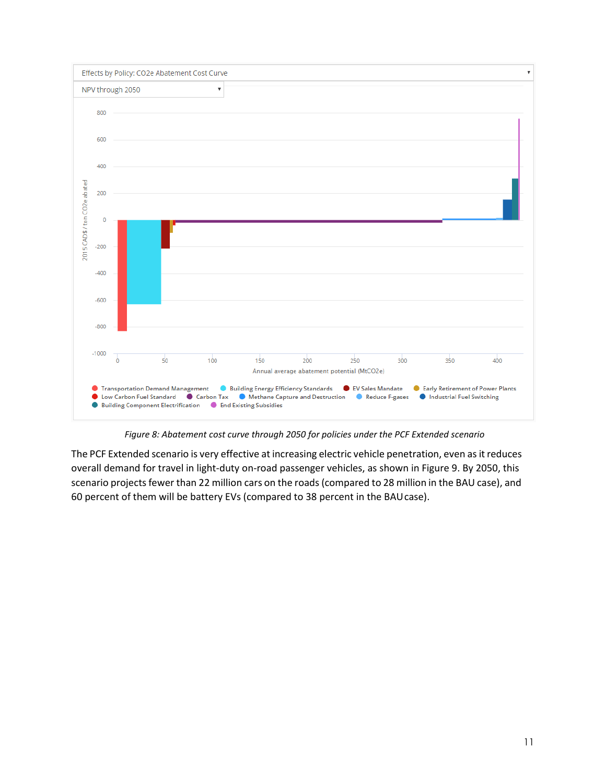

*Figure 8: Abatement cost curve through 2050 for policies under the PCF Extended scenario*

The PCF Extended scenario is very effective at increasing electric vehicle penetration, even as it reduces overall demand for travel in light-duty on-road passenger vehicles, as shown in Figure 9. By 2050, this scenario projects fewer than 22 million cars on the roads (compared to 28 million in the BAU case), and 60 percent of them will be battery EVs (compared to 38 percent in the BAUcase).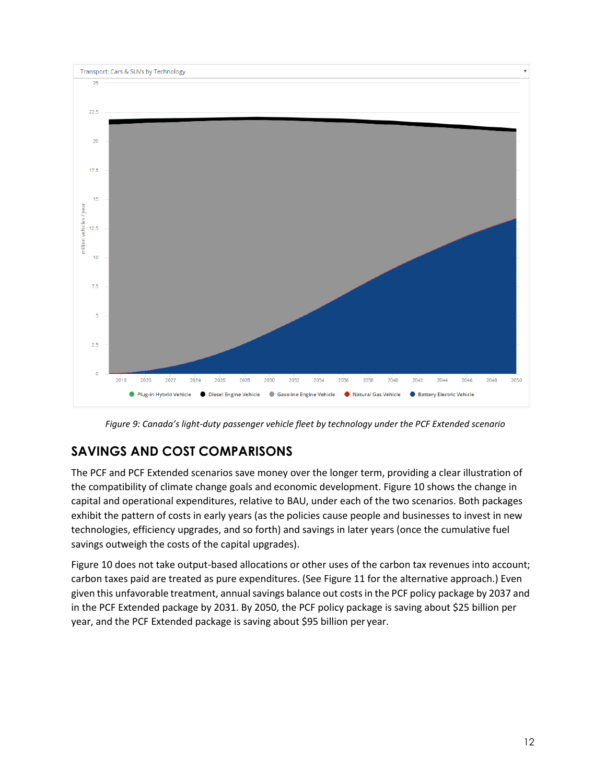

*Figure 9: Canada's light-duty passenger vehicle fleet by technology under the PCF Extended scenario*

### **SAVINGS AND COST COMPARISONS**

The PCF and PCF Extended scenarios save money over the longer term, providing a clear illustration of the compatibility of climate change goals and economic development. Figure 10 shows the change in capital and operational expenditures, relative to BAU, under each of the two scenarios. Both packages exhibit the pattern of costs in early years (as the policies cause people and businesses to invest in new technologies, efficiency upgrades, and so forth) and savings in later years (once the cumulative fuel savings outweigh the costs of the capital upgrades).

Figure 10 does not take output-based allocations or other uses of the carbon tax revenues into account; carbon taxes paid are treated as pure expenditures. (See Figure 11 for the alternative approach.) Even given this unfavorable treatment, annual savings balance out costs in the PCF policy package by 2037 and in the PCF Extended package by 2031. By 2050, the PCF policy package is saving about \$25 billion per year, and the PCF Extended package is saving about \$95 billion per year.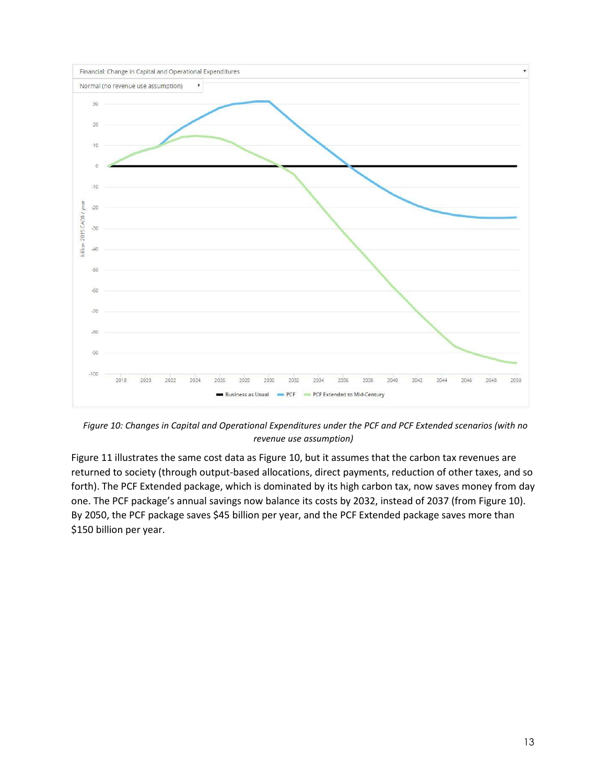

*Figure 10: Changes in Capital and Operational Expenditures under the PCF and PCF Extended scenarios (with no revenue use assumption)*

Figure 11 illustrates the same cost data as Figure 10, but it assumes that the carbon tax revenues are returned to society (through output-based allocations, direct payments, reduction of other taxes, and so forth). The PCF Extended package, which is dominated by its high carbon tax, now saves money from day one. The PCF package's annual savings now balance its costs by 2032, instead of 2037 (from Figure 10). By 2050, the PCF package saves \$45 billion per year, and the PCF Extended package saves more than \$150 billion per year.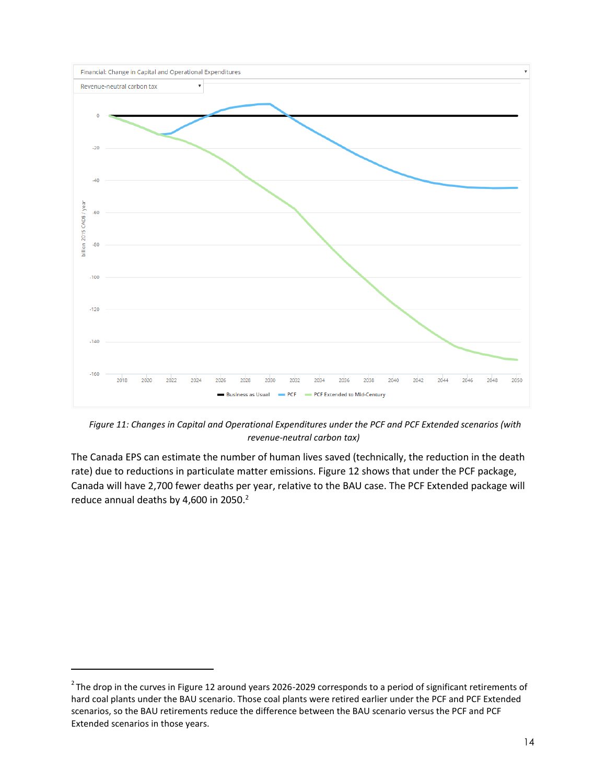

*Figure 11: Changes in Capital and Operational Expenditures under the PCF and PCF Extended scenarios (with revenue-neutral carbon tax)*

The Canada EPS can estimate the number of human lives saved (technically, the reduction in the death rate) due to reductions in particulate matter emissions. Figure 12 shows that under the PCF package, Canada will have 2,700 fewer deaths per year, relative to the BAU case. The PCF Extended package will reduce annual deaths by 4,600 in [2](#page-12-0)050.<sup>2</sup>

<span id="page-12-0"></span> $2$ The drop in the curves in Figure 12 around years 2026-2029 corresponds to a period of significant retirements of hard coal plants under the BAU scenario. Those coal plants were retired earlier under the PCF and PCF Extended scenarios, so the BAU retirements reduce the difference between the BAU scenario versus the PCF and PCF Extended scenarios in those years.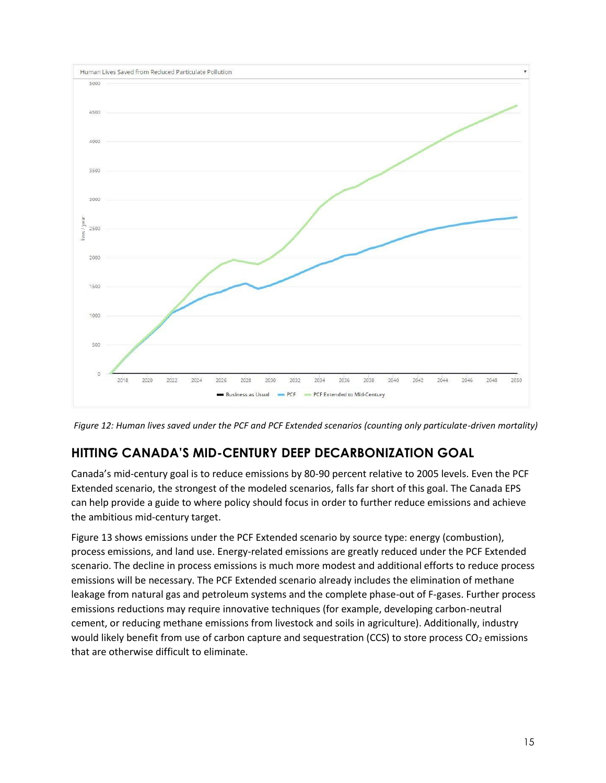

*Figure 12: Human lives saved under the PCF and PCF Extended scenarios (counting only particulate-driven mortality)*

### **HITTING CANADA'S MID-CENTURY DEEP DECARBONIZATION GOAL**

Canada's mid-century goal is to reduce emissions by 80-90 percent relative to 2005 levels. Even the PCF Extended scenario, the strongest of the modeled scenarios, falls far short of this goal. The Canada EPS can help provide a guide to where policy should focus in order to further reduce emissions and achieve the ambitious mid-century target.

Figure 13 shows emissions under the PCF Extended scenario by source type: energy (combustion), process emissions, and land use. Energy-related emissions are greatly reduced under the PCF Extended scenario. The decline in process emissions is much more modest and additional efforts to reduce process emissions will be necessary. The PCF Extended scenario already includes the elimination of methane leakage from natural gas and petroleum systems and the complete phase-out of F-gases. Further process emissions reductions may require innovative techniques (for example, developing carbon-neutral cement, or reducing methane emissions from livestock and soils in agriculture). Additionally, industry would likely benefit from use of carbon capture and sequestration (CCS) to store process  $CO<sub>2</sub>$  emissions that are otherwise difficult to eliminate.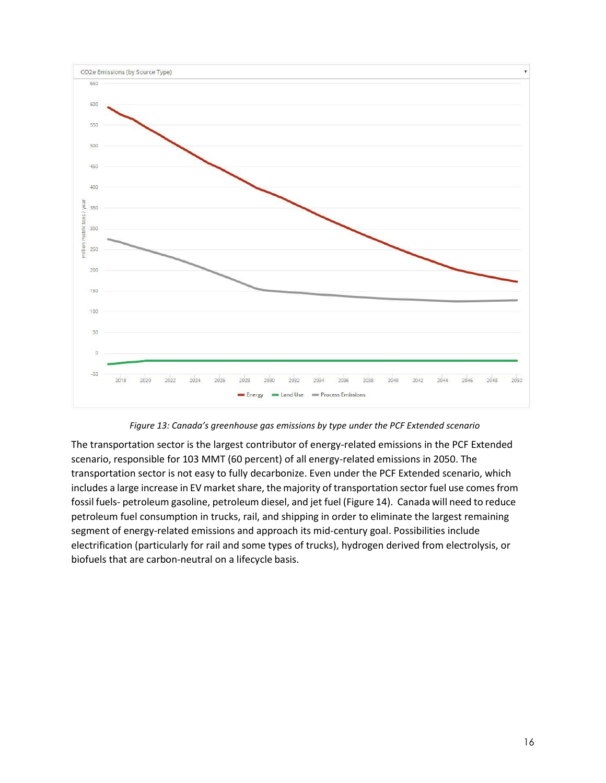

*Figure 13: Canada's greenhouse gas emissions by type under the PCF Extended scenario*

The transportation sector is the largest contributor of energy-related emissions in the PCF Extended scenario, responsible for 103 MMT (60 percent) of all energy-related emissions in 2050. The transportation sector is not easy to fully decarbonize. Even under the PCF Extended scenario, which includes a large increase in EV market share, the majority of transportation sector fuel use comes from fossil fuels- petroleum gasoline, petroleum diesel, and jet fuel (Figure 14). Canada will need to reduce petroleum fuel consumption in trucks, rail, and shipping in order to eliminate the largest remaining segment of energy-related emissions and approach its mid-century goal. Possibilities include electrification (particularly for rail and some types of trucks), hydrogen derived from electrolysis, or biofuels that are carbon-neutral on a lifecycle basis.